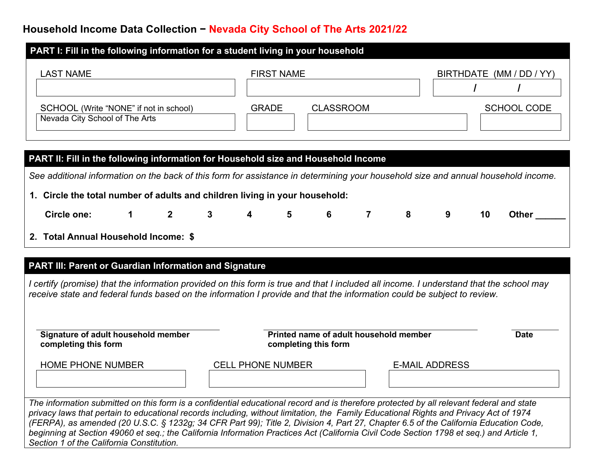## **Household Income Data Collection − Nevada City School of The Arts 2021/22**

| PART I: Fill in the following information for a student living in your household |                                  |                          |  |  |  |  |  |  |
|----------------------------------------------------------------------------------|----------------------------------|--------------------------|--|--|--|--|--|--|
| <b>LAST NAME</b>                                                                 | <b>FIRST NAME</b>                | BIRTHDATE (MM / DD / YY) |  |  |  |  |  |  |
| SCHOOL (Write "NONE" if not in school)<br>Nevada City School of The Arts         | <b>CLASSROOM</b><br><b>GRADE</b> | <b>SCHOOL CODE</b>       |  |  |  |  |  |  |

| <b>PART II: Fill in the following information for Household size and Household Income</b>                                          |  |  |  |  |    |       |
|------------------------------------------------------------------------------------------------------------------------------------|--|--|--|--|----|-------|
| See additional information on the back of this form for assistance in determining your household size and annual household income. |  |  |  |  |    |       |
| 1. Circle the total number of adults and children living in your household:                                                        |  |  |  |  |    |       |
| Circle one: $\begin{array}{cccccccc} 1 & 2 & 3 & 4 & 5 & 6 & 7 & 8 & 9 \end{array}$                                                |  |  |  |  | 10 | Other |
| 2. Total Annual Household Income: \$                                                                                               |  |  |  |  |    |       |

## **PART III: Parent or Guardian Information and Signature**

*I certify (promise) that the information provided on this form is true and that I included all income. I understand that the school may receive state and federal funds based on the information I provide and that the information could be subject to review.*

| Signature of adult household member<br>completing this form                                                                              | Printed name of adult household member<br>completing this form | <b>Date</b>           |  |
|------------------------------------------------------------------------------------------------------------------------------------------|----------------------------------------------------------------|-----------------------|--|
| <b>HOME PHONE NUMBER</b>                                                                                                                 | <b>CELL PHONE NUMBER</b>                                       | <b>E-MAIL ADDRESS</b> |  |
| The information submitted on this form is a confidential educational record and is therefore protected by all relevant federal and state |                                                                |                       |  |

*privacy laws that pertain to educational records including, without limitation, the Family Educational Rights and Privacy Act of 1974 (FERPA), as amended (20 U.S.C. § 1232g; 34 CFR Part 99); Title 2, Division 4, Part 27, Chapter 6.5 of the California Education Code,*  beginning at Section 49060 et seg.; the California Information Practices Act (California Civil Code Section 1798 et seg.) and Article 1, *Section 1 of the California Constitution.*